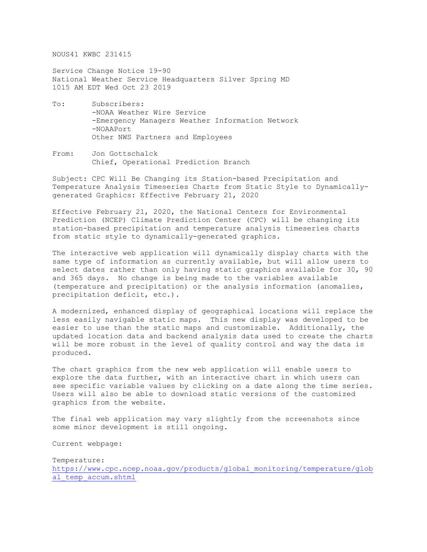NOUS41 KWBC 231415

Service Change Notice 19-90 National Weather Service Headquarters Silver Spring MD 1015 AM EDT Wed Oct 23 2019

- To: Subscribers: -NOAA Weather Wire Service -Emergency Managers Weather Information Network -NOAAPort Other NWS Partners and Employees
- From: Jon Gottschalck Chief, Operational Prediction Branch

Subject: CPC Will Be Changing its Station-based Precipitation and Temperature Analysis Timeseries Charts from Static Style to Dynamicallygenerated Graphics: Effective February 21, 2020

Effective February 21, 2020, the National Centers for Environmental Prediction (NCEP) Climate Prediction Center (CPC) will be changing its station-based precipitation and temperature analysis timeseries charts from static style to dynamically-generated graphics.

The interactive web application will dynamically display charts with the same type of information as currently available, but will allow users to select dates rather than only having static graphics available for 30, 90 and 365 days. No change is being made to the variables available (temperature and precipitation) or the analysis information (anomalies, precipitation deficit, etc.).

A modernized, enhanced display of geographical locations will replace the less easily navigable static maps. This new display was developed to be easier to use than the static maps and customizable. Additionally, the updated location data and backend analysis data used to create the charts will be more robust in the level of quality control and way the data is produced.

The chart graphics from the new web application will enable users to explore the data further, with an interactive chart in which users can see specific variable values by clicking on a date along the time series. Users will also be able to download static versions of the customized graphics from the website.

The final web application may vary slightly from the screenshots since some minor development is still ongoing.

Current webpage:

Temperature: [https://www.cpc.ncep.noaa.gov/products/global\\_monitoring/temperature/glob](https://www.cpc.ncep.noaa.gov/products/global_monitoring/temperature/global_temp_accum.shtml) al temp accum.shtml